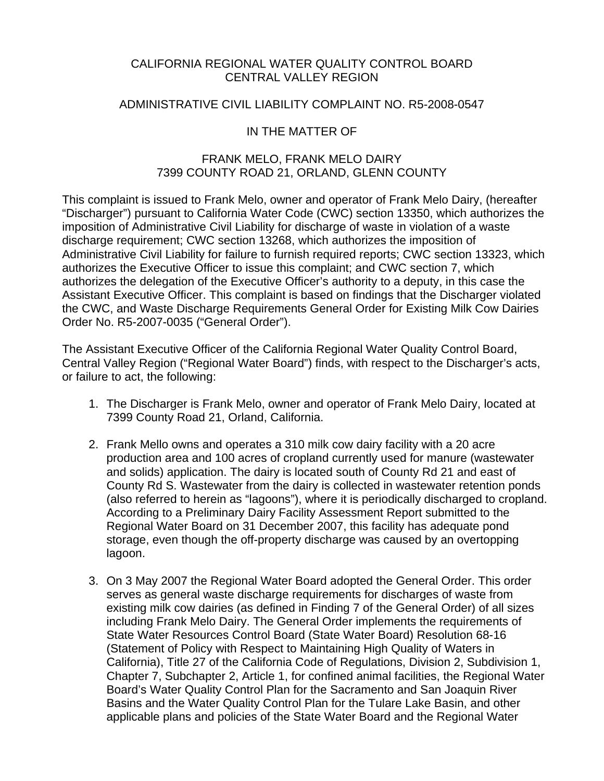### CALIFORNIA REGIONAL WATER QUALITY CONTROL BOARD CENTRAL VALLEY REGION

#### ADMINISTRATIVE CIVIL LIABILITY COMPLAINT NO. R5-2008-0547

### IN THE MATTER OF

## FRANK MELO, FRANK MELO DAIRY 7399 COUNTY ROAD 21, ORLAND, GLENN COUNTY

This complaint is issued to Frank Melo, owner and operator of Frank Melo Dairy, (hereafter "Discharger") pursuant to California Water Code (CWC) section 13350, which authorizes the imposition of Administrative Civil Liability for discharge of waste in violation of a waste discharge requirement; CWC section 13268, which authorizes the imposition of Administrative Civil Liability for failure to furnish required reports; CWC section 13323, which authorizes the Executive Officer to issue this complaint; and CWC section 7, which authorizes the delegation of the Executive Officer's authority to a deputy, in this case the Assistant Executive Officer. This complaint is based on findings that the Discharger violated the CWC, and Waste Discharge Requirements General Order for Existing Milk Cow Dairies Order No. R5-2007-0035 ("General Order").

The Assistant Executive Officer of the California Regional Water Quality Control Board, Central Valley Region ("Regional Water Board") finds, with respect to the Discharger's acts, or failure to act, the following:

- 1. The Discharger is Frank Melo, owner and operator of Frank Melo Dairy, located at 7399 County Road 21, Orland, California.
- 2. Frank Mello owns and operates a 310 milk cow dairy facility with a 20 acre production area and 100 acres of cropland currently used for manure (wastewater and solids) application. The dairy is located south of County Rd 21 and east of County Rd S. Wastewater from the dairy is collected in wastewater retention ponds (also referred to herein as "lagoons"), where it is periodically discharged to cropland. According to a Preliminary Dairy Facility Assessment Report submitted to the Regional Water Board on 31 December 2007, this facility has adequate pond storage, even though the off-property discharge was caused by an overtopping lagoon.
- 3. On 3 May 2007 the Regional Water Board adopted the General Order. This order serves as general waste discharge requirements for discharges of waste from existing milk cow dairies (as defined in Finding 7 of the General Order) of all sizes including Frank Melo Dairy. The General Order implements the requirements of State Water Resources Control Board (State Water Board) Resolution 68-16 (Statement of Policy with Respect to Maintaining High Quality of Waters in California), Title 27 of the California Code of Regulations, Division 2, Subdivision 1, Chapter 7, Subchapter 2, Article 1, for confined animal facilities, the Regional Water Board's Water Quality Control Plan for the Sacramento and San Joaquin River Basins and the Water Quality Control Plan for the Tulare Lake Basin, and other applicable plans and policies of the State Water Board and the Regional Water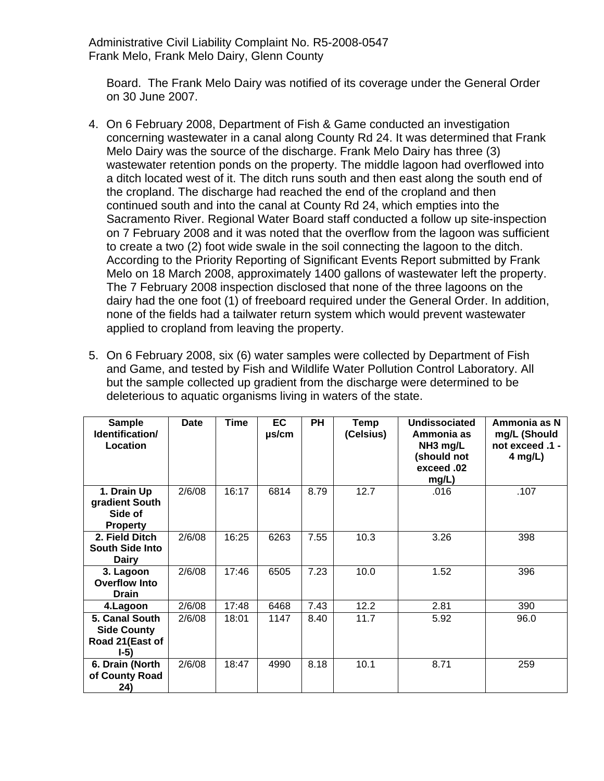Board. The Frank Melo Dairy was notified of its coverage under the General Order on 30 June 2007.

- 4. On 6 February 2008, Department of Fish & Game conducted an investigation concerning wastewater in a canal along County Rd 24. It was determined that Frank Melo Dairy was the source of the discharge. Frank Melo Dairy has three (3) wastewater retention ponds on the property. The middle lagoon had overflowed into a ditch located west of it. The ditch runs south and then east along the south end of the cropland. The discharge had reached the end of the cropland and then continued south and into the canal at County Rd 24, which empties into the Sacramento River. Regional Water Board staff conducted a follow up site-inspection on 7 February 2008 and it was noted that the overflow from the lagoon was sufficient to create a two (2) foot wide swale in the soil connecting the lagoon to the ditch. According to the Priority Reporting of Significant Events Report submitted by Frank Melo on 18 March 2008, approximately 1400 gallons of wastewater left the property. The 7 February 2008 inspection disclosed that none of the three lagoons on the dairy had the one foot (1) of freeboard required under the General Order. In addition, none of the fields had a tailwater return system which would prevent wastewater applied to cropland from leaving the property.
- 5. On 6 February 2008, six (6) water samples were collected by Department of Fish and Game, and tested by Fish and Wildlife Water Pollution Control Laboratory. All but the sample collected up gradient from the discharge were determined to be deleterious to aquatic organisms living in waters of the state.

| <b>Sample</b><br>Identification/<br>Location                       | <b>Date</b> | <b>Time</b> | EC<br>$\mu$ s/cm | <b>PH</b> | Temp<br>(Celsius) | <b>Undissociated</b><br>Ammonia as<br>NH <sub>3</sub> mg/L<br>(should not<br>exceed .02<br>mg/L) | Ammonia as N<br>mg/L (Should<br>not exceed .1 -<br>4 mg/L) |
|--------------------------------------------------------------------|-------------|-------------|------------------|-----------|-------------------|--------------------------------------------------------------------------------------------------|------------------------------------------------------------|
| 1. Drain Up<br>gradient South<br>Side of<br><b>Property</b>        | 2/6/08      | 16:17       | 6814             | 8.79      | 12.7              | .016                                                                                             | .107                                                       |
| 2. Field Ditch<br><b>South Side Into</b><br><b>Dairy</b>           | 2/6/08      | 16:25       | 6263             | 7.55      | 10.3              | 3.26                                                                                             | 398                                                        |
| 3. Lagoon<br><b>Overflow Into</b><br>Drain                         | 2/6/08      | 17:46       | 6505             | 7.23      | 10.0              | 1.52                                                                                             | 396                                                        |
| 4. Lagoon                                                          | 2/6/08      | 17:48       | 6468             | 7.43      | 12.2              | 2.81                                                                                             | 390                                                        |
| 5. Canal South<br><b>Side County</b><br>Road 21 (East of<br>$I-5)$ | 2/6/08      | 18:01       | 1147             | 8.40      | 11.7              | 5.92                                                                                             | 96.0                                                       |
| 6. Drain (North<br>of County Road<br>24)                           | 2/6/08      | 18:47       | 4990             | 8.18      | 10.1              | 8.71                                                                                             | 259                                                        |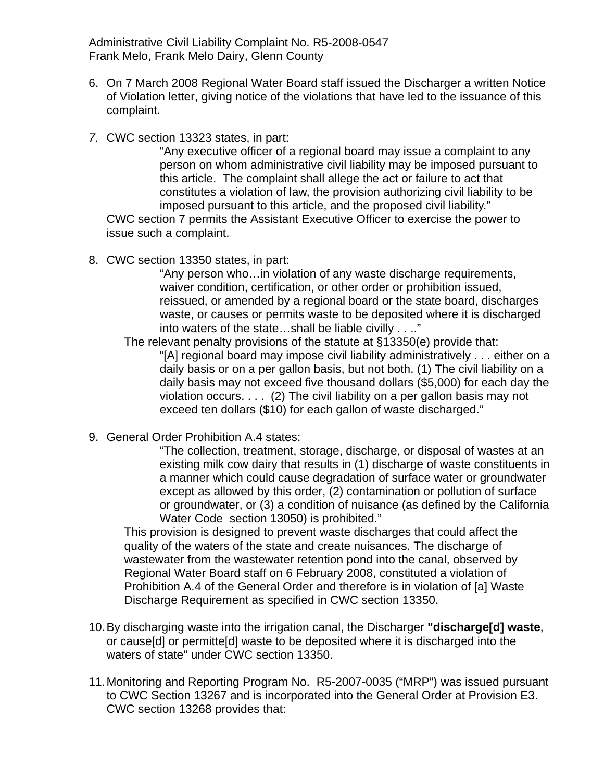- 6. On 7 March 2008 Regional Water Board staff issued the Discharger a written Notice of Violation letter, giving notice of the violations that have led to the issuance of this complaint.
- *7.* CWC section 13323 states, in part:

"Any executive officer of a regional board may issue a complaint to any person on whom administrative civil liability may be imposed pursuant to this article. The complaint shall allege the act or failure to act that constitutes a violation of law, the provision authorizing civil liability to be imposed pursuant to this article, and the proposed civil liability."

CWC section 7 permits the Assistant Executive Officer to exercise the power to issue such a complaint.

8. CWC section 13350 states, in part:

"Any person who…in violation of any waste discharge requirements, waiver condition, certification, or other order or prohibition issued, reissued, or amended by a regional board or the state board, discharges waste, or causes or permits waste to be deposited where it is discharged into waters of the state…shall be liable civilly . . .."

The relevant penalty provisions of the statute at §13350(e) provide that: "[A] regional board may impose civil liability administratively . . . either on a daily basis or on a per gallon basis, but not both. (1) The civil liability on a daily basis may not exceed five thousand dollars (\$5,000) for each day the violation occurs. . . . (2) The civil liability on a per gallon basis may not exceed ten dollars (\$10) for each gallon of waste discharged."

9. General Order Prohibition A.4 states:

"The collection, treatment, storage, discharge, or disposal of wastes at an existing milk cow dairy that results in (1) discharge of waste constituents in a manner which could cause degradation of surface water or groundwater except as allowed by this order, (2) contamination or pollution of surface or groundwater, or (3) a condition of nuisance (as defined by the California Water Code section 13050) is prohibited."

This provision is designed to prevent waste discharges that could affect the quality of the waters of the state and create nuisances. The discharge of wastewater from the wastewater retention pond into the canal, observed by Regional Water Board staff on 6 February 2008, constituted a violation of Prohibition A.4 of the General Order and therefore is in violation of [a] Waste Discharge Requirement as specified in CWC section 13350.

- 10. By discharging waste into the irrigation canal, the Discharger **"discharge[d] waste**, or cause[d] or permitte[d] waste to be deposited where it is discharged into the waters of state" under CWC section 13350.
- 11. Monitoring and Reporting Program No. R5-2007-0035 ("MRP") was issued pursuant to CWC Section 13267 and is incorporated into the General Order at Provision E3. CWC section 13268 provides that: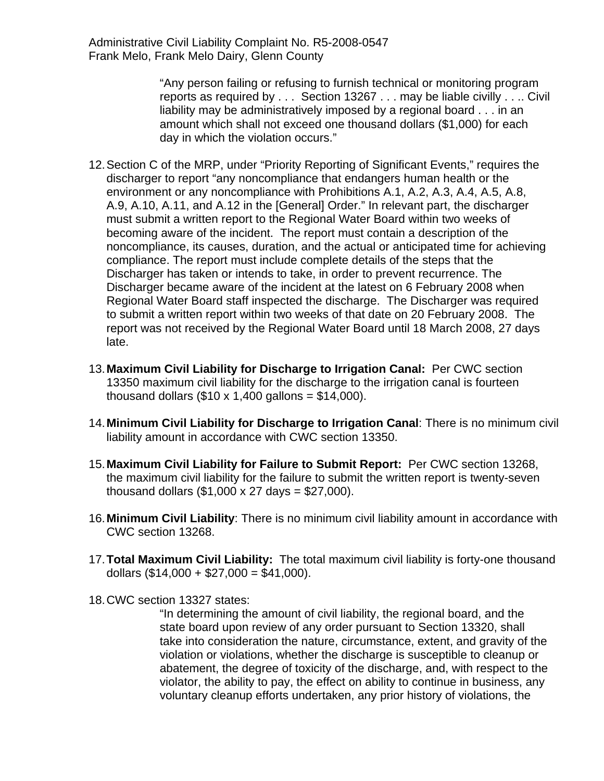> "Any person failing or refusing to furnish technical or monitoring program reports as required by . . . Section 13267 . . . may be liable civilly . . .. Civil liability may be administratively imposed by a regional board . . . in an amount which shall not exceed one thousand dollars (\$1,000) for each day in which the violation occurs."

- 12. Section C of the MRP, under "Priority Reporting of Significant Events," requires the discharger to report "any noncompliance that endangers human health or the environment or any noncompliance with Prohibitions A.1, A.2, A.3, A.4, A.5, A.8, A.9, A.10, A.11, and A.12 in the [General] Order." In relevant part, the discharger must submit a written report to the Regional Water Board within two weeks of becoming aware of the incident. The report must contain a description of the noncompliance, its causes, duration, and the actual or anticipated time for achieving compliance. The report must include complete details of the steps that the Discharger has taken or intends to take, in order to prevent recurrence. The Discharger became aware of the incident at the latest on 6 February 2008 when Regional Water Board staff inspected the discharge. The Discharger was required to submit a written report within two weeks of that date on 20 February 2008. The report was not received by the Regional Water Board until 18 March 2008, 27 days late.
- 13.**Maximum Civil Liability for Discharge to Irrigation Canal:** Per CWC section 13350 maximum civil liability for the discharge to the irrigation canal is fourteen thousand dollars  $(\$10 \times 1,400$  gallons =  $\$14,000$ ).
- 14.**Minimum Civil Liability for Discharge to Irrigation Canal**: There is no minimum civil liability amount in accordance with CWC section 13350.
- 15.**Maximum Civil Liability for Failure to Submit Report:** Per CWC section 13268, the maximum civil liability for the failure to submit the written report is twenty-seven thousand dollars (\$1,000 x 27 days = \$27,000).
- 16.**Minimum Civil Liability**: There is no minimum civil liability amount in accordance with CWC section 13268.
- 17.**Total Maximum Civil Liability:** The total maximum civil liability is forty-one thousand dollars  $(\$14,000 + \$27,000 = \$41,000)$ .
- 18. CWC section 13327 states:

"In determining the amount of civil liability, the regional board, and the state board upon review of any order pursuant to Section 13320, shall take into consideration the nature, circumstance, extent, and gravity of the violation or violations, whether the discharge is susceptible to cleanup or abatement, the degree of toxicity of the discharge, and, with respect to the violator, the ability to pay, the effect on ability to continue in business, any voluntary cleanup efforts undertaken, any prior history of violations, the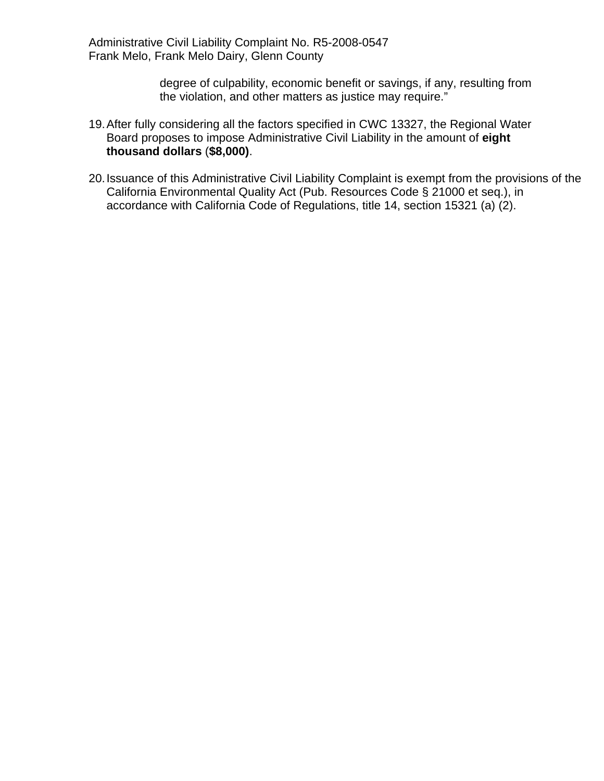> degree of culpability, economic benefit or savings, if any, resulting from the violation, and other matters as justice may require."

- 19. After fully considering all the factors specified in CWC 13327, the Regional Water Board proposes to impose Administrative Civil Liability in the amount of **eight thousand dollars** (**\$8,000)**.
- 20. Issuance of this Administrative Civil Liability Complaint is exempt from the provisions of the California Environmental Quality Act (Pub. Resources Code § 21000 et seq.), in accordance with California Code of Regulations, title 14, section 15321 (a) (2).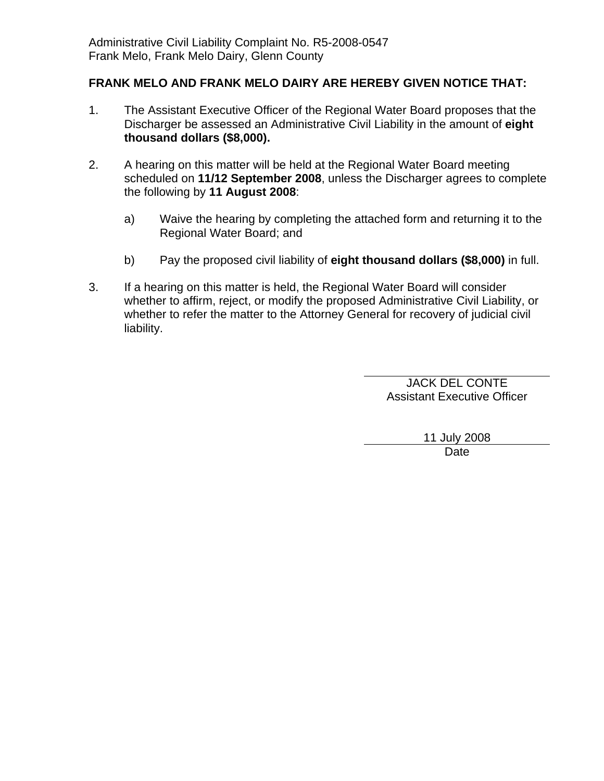# **FRANK MELO AND FRANK MELO DAIRY ARE HEREBY GIVEN NOTICE THAT:**

- 1. The Assistant Executive Officer of the Regional Water Board proposes that the Discharger be assessed an Administrative Civil Liability in the amount of **eight thousand dollars (\$8,000).**
- 2. A hearing on this matter will be held at the Regional Water Board meeting scheduled on **11/12 September 2008**, unless the Discharger agrees to complete the following by **11 August 2008**:
	- a) Waive the hearing by completing the attached form and returning it to the Regional Water Board; and
	- b) Pay the proposed civil liability of **eight thousand dollars (\$8,000)** in full.
- 3. If a hearing on this matter is held, the Regional Water Board will consider whether to affirm, reject, or modify the proposed Administrative Civil Liability, or whether to refer the matter to the Attorney General for recovery of judicial civil liability.

JACK DEL CONTE Assistant Executive Officer

> 11 July 2008 Date